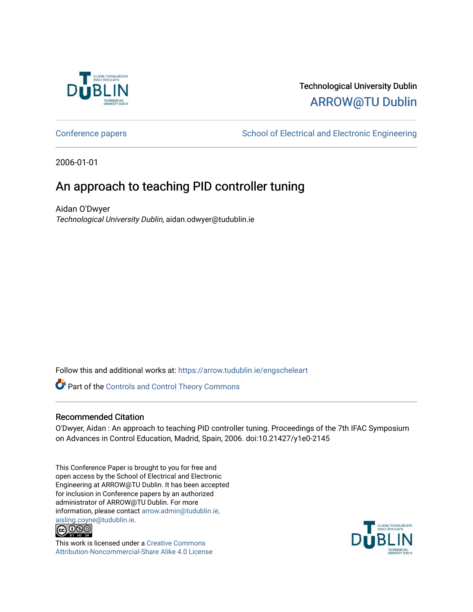

# Technological University Dublin [ARROW@TU Dublin](https://arrow.tudublin.ie/)

[Conference papers](https://arrow.tudublin.ie/engscheleart) **School of Electrical and Electronic Engineering** 

2006-01-01

# An approach to teaching PID controller tuning

Aidan O'Dwyer Technological University Dublin, aidan.odwyer@tudublin.ie

Follow this and additional works at: [https://arrow.tudublin.ie/engscheleart](https://arrow.tudublin.ie/engscheleart?utm_source=arrow.tudublin.ie%2Fengscheleart%2F15&utm_medium=PDF&utm_campaign=PDFCoverPages) 

Part of the [Controls and Control Theory Commons](http://network.bepress.com/hgg/discipline/269?utm_source=arrow.tudublin.ie%2Fengscheleart%2F15&utm_medium=PDF&utm_campaign=PDFCoverPages) 

# Recommended Citation

O'Dwyer, Aidan : An approach to teaching PID controller tuning. Proceedings of the 7th IFAC Symposium on Advances in Control Education, Madrid, Spain, 2006. doi:10.21427/y1e0-2145

This Conference Paper is brought to you for free and open access by the School of Electrical and Electronic Engineering at ARROW@TU Dublin. It has been accepted for inclusion in Conference papers by an authorized administrator of ARROW@TU Dublin. For more information, please contact [arrow.admin@tudublin.ie,](mailto:arrow.admin@tudublin.ie,%20aisling.coyne@tudublin.ie)  [aisling.coyne@tudublin.ie.](mailto:arrow.admin@tudublin.ie,%20aisling.coyne@tudublin.ie)<br>© 090



This work is licensed under a [Creative Commons](http://creativecommons.org/licenses/by-nc-sa/4.0/) [Attribution-Noncommercial-Share Alike 4.0 License](http://creativecommons.org/licenses/by-nc-sa/4.0/)

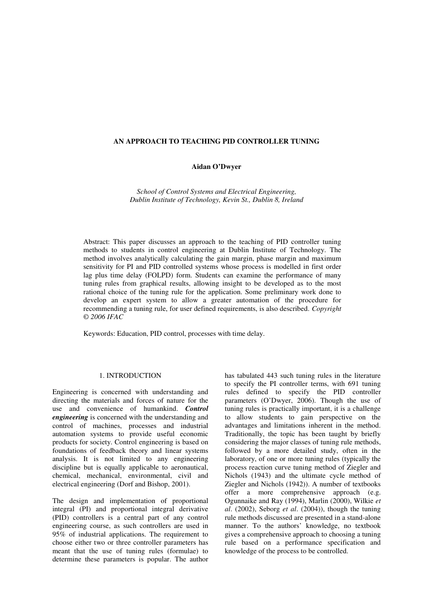#### **AN APPROACH TO TEACHING PID CONTROLLER TUNING**

# **Aidan O'Dwyer**

*School of Control Systems and Electrical Engineering, Dublin Institute of Technology, Kevin St., Dublin 8, Ireland* 

Abstract: This paper discusses an approach to the teaching of PID controller tuning methods to students in control engineering at Dublin Institute of Technology. The method involves analytically calculating the gain margin, phase margin and maximum sensitivity for PI and PID controlled systems whose process is modelled in first order lag plus time delay (FOLPD) form. Students can examine the performance of many tuning rules from graphical results, allowing insight to be developed as to the most rational choice of the tuning rule for the application. Some preliminary work done to develop an expert system to allow a greater automation of the procedure for recommending a tuning rule, for user defined requirements, is also described. *Copyright © 2006 IFAC*

Keywords: Education, PID control, processes with time delay.

#### 1. INTRODUCTION

Engineering is concerned with understanding and directing the materials and forces of nature for the use and convenience of humankind. *Control engineering* is concerned with the understanding and control of machines, processes and industrial automation systems to provide useful economic products for society. Control engineering is based on foundations of feedback theory and linear systems analysis. It is not limited to any engineering discipline but is equally applicable to aeronautical, chemical, mechanical, environmental, civil and electrical engineering (Dorf and Bishop, 2001).

The design and implementation of proportional integral (PI) and proportional integral derivative (PID) controllers is a central part of any control engineering course, as such controllers are used in 95% of industrial applications. The requirement to choose either two or three controller parameters has meant that the use of tuning rules (formulae) to determine these parameters is popular. The author

has tabulated 443 such tuning rules in the literature to specify the PI controller terms, with 691 tuning rules defined to specify the PID controller parameters (O'Dwyer, 2006). Though the use of tuning rules is practically important, it is a challenge to allow students to gain perspective on the advantages and limitations inherent in the method. Traditionally, the topic has been taught by briefly considering the major classes of tuning rule methods, followed by a more detailed study, often in the laboratory, of one or more tuning rules (typically the process reaction curve tuning method of Ziegler and Nichols (1943) and the ultimate cycle method of Ziegler and Nichols (1942)). A number of textbooks offer a more comprehensive approach (e.g. Ogunnaike and Ray (1994), Marlin (2000), Wilkie *et al*. (2002), Seborg *et al*. (2004)), though the tuning rule methods discussed are presented in a stand-alone manner. To the authors' knowledge, no textbook gives a comprehensive approach to choosing a tuning rule based on a performance specification and knowledge of the process to be controlled.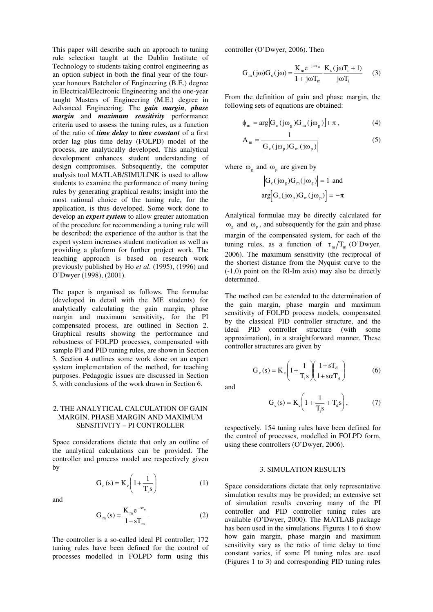This paper will describe such an approach to tuning rule selection taught at the Dublin Institute of Technology to students taking control engineering as an option subject in both the final year of the fouryear honours Batchelor of Engineering (B.E.) degree in Electrical/Electronic Engineering and the one-year taught Masters of Engineering (M.E.) degree in Advanced Engineering. The *gain margin*, *phase margin* and *maximum sensitivity* performance criteria used to assess the tuning rules, as a function of the ratio of *time delay* to *time constant* of a first order lag plus time delay (FOLPD) model of the process, are analytically developed. This analytical development enhances student understanding of design compromises. Subsequently, the computer analysis tool MATLAB/SIMULINK is used to allow students to examine the performance of many tuning rules by generating graphical results; insight into the most rational choice of the tuning rule, for the application, is thus developed. Some work done to develop an *expert system* to allow greater automation of the procedure for recommending a tuning rule will be described; the experience of the author is that the expert system increases student motivation as well as providing a platform for further project work. The teaching approach is based on research work previously published by Ho *et al*. (1995), (1996) and O'Dwyer (1998), (2001).

The paper is organised as follows. The formulae (developed in detail with the ME students) for analytically calculating the gain margin, phase margin and maximum sensitivity, for the PI compensated process, are outlined in Section 2. Graphical results showing the performance and robustness of FOLPD processes, compensated with sample PI and PID tuning rules, are shown in Section 3. Section 4 outlines some work done on an expert system implementation of the method, for teaching purposes. Pedagogic issues are discussed in Section 5, with conclusions of the work drawn in Section 6.

## 2. THE ANALYTICAL CALCULATION OF GAIN MARGIN, PHASE MARGIN AND MAXIMUM SENSITIVITY – PI CONTROLLER

Space considerations dictate that only an outline of the analytical calculations can be provided. The controller and process model are respectively given by

> $\overline{\phantom{a}}$ ∖  $= K_c \left( 1 + \right)$

 $G_c(s) = K_c \left(1 + \frac{1}{\pi}\right)$  $c^{(3)} = K_c \left( \frac{1}{T_i} \right)$ 

and

$$
G_{m}(s) = \frac{K_{m}e^{-s\tau_{m}}}{1 + sT_{m}}
$$
 (2)

 $\overline{\phantom{a}}$ J  $\backslash$ 

 $T_i s$ 

The controller is a so-called ideal PI controller; 172 tuning rules have been defined for the control of processes modelled in FOLPD form using this controller (O'Dwyer, 2006). Then

$$
G_m(j\omega)G_c(j\omega) = \frac{K_m e^{-j\omega\tau_m}}{1 + j\omega T_m} \frac{K_c(j\omega T_i + 1)}{j\omega T_i}
$$
 (3)

From the definition of gain and phase margin, the following sets of equations are obtained:

$$
\phi_{\rm m} = \arg \left[ G_{\rm c} (j \omega_{\rm g}) G_{\rm m} (j \omega_{\rm g}) \right] + \pi, \tag{4}
$$

$$
A_{m} = \frac{1}{\left| G_{c} (j\omega_{p}) G_{m} (j\omega_{p}) \right|}
$$
 (5)

where  $\omega_{g}$  and  $\omega_{p}$  are given by

$$
\left| G_c(j\omega_g) G_m(j\omega_g) \right| = 1 \text{ and}
$$
  

$$
\arg \left[ G_c(j\omega_p) G_m(j\omega_p) \right] = -\pi
$$

Analytical formulae may be directly calculated for  $\omega_{\rm g}$  and  $\omega_{\rm p}$ , and subsequently for the gain and phase margin of the compensated system, for each of the tuning rules, as a function of  $\tau_{\rm m}/T_{\rm m}$  (O'Dwyer, 2006). The maximum sensitivity (the reciprocal of the shortest distance from the Nyquist curve to the (-1,0) point on the Rl-Im axis) may also be directly determined.

The method can be extended to the determination of the gain margin, phase margin and maximum sensitivity of FOLPD process models, compensated by the classical PID controller structure, and the ideal PID controller structure (with some approximation), in a straightforward manner. These controller structures are given by

$$
G_c(s) = K_c \left( 1 + \frac{1}{T_i s} \right) \left( \frac{1 + s T_d}{1 + s \alpha T_d} \right)
$$
 (6)

and

(1)

$$
G_c(s) = K_c \left( 1 + \frac{1}{T_i s} + T_d s \right),
$$
 (7)

respectively. 154 tuning rules have been defined for the control of processes, modelled in FOLPD form, using these controllers (O'Dwyer, 2006).

#### 3. SIMULATION RESULTS

Space considerations dictate that only representative simulation results may be provided; an extensive set of simulation results covering many of the PI controller and PID controller tuning rules are available (O'Dwyer, 2000). The MATLAB package has been used in the simulations. Figures 1 to 6 show how gain margin, phase margin and maximum sensitivity vary as the ratio of time delay to time constant varies, if some PI tuning rules are used (Figures 1 to 3) and corresponding PID tuning rules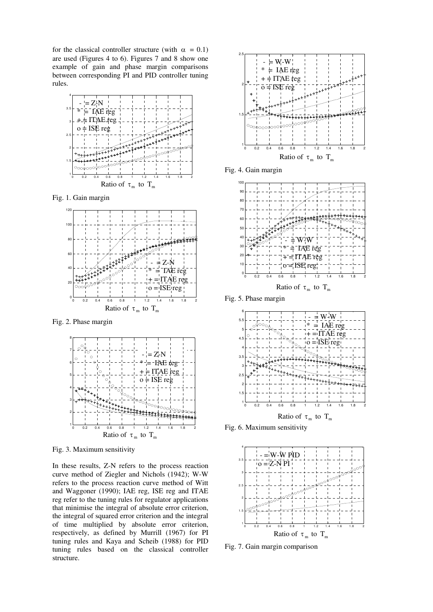for the classical controller structure (with  $\alpha = 0.1$ ) are used (Figures 4 to 6). Figures 7 and 8 show one example of gain and phase margin comparisons between corresponding PI and PID controller tuning rules.



Fig. 1. Gain margin



Fig. 2. Phase margin



Fig. 3. Maximum sensitivity

In these results, Z-N refers to the process reaction curve method of Ziegler and Nichols (1942); W-W refers to the process reaction curve method of Witt and Waggoner (1990); IAE reg, ISE reg and ITAE reg refer to the tuning rules for regulator applications that minimise the integral of absolute error criterion, the integral of squared error criterion and the integral of time multiplied by absolute error criterion, respectively, as defined by Murrill (1967) for PI tuning rules and Kaya and Scheib (1988) for PID tuning rules based on the classical controller structure.



Fig. 4. Gain margin



Fig. 5. Phase margin



Fig. 6. Maximum sensitivity



Fig. 7. Gain margin comparison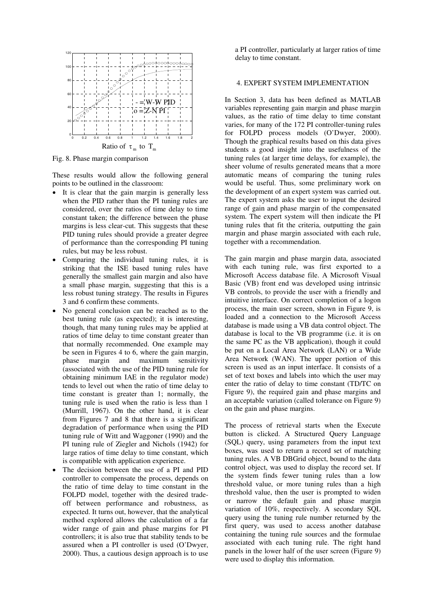

Fig. 8. Phase margin comparison

These results would allow the following general points to be outlined in the classroom:

- It is clear that the gain margin is generally less when the PID rather than the PI tuning rules are considered, over the ratios of time delay to time constant taken; the difference between the phase margins is less clear-cut. This suggests that these PID tuning rules should provide a greater degree of performance than the corresponding PI tuning rules, but may be less robust.
- Comparing the individual tuning rules, it is striking that the ISE based tuning rules have generally the smallest gain margin and also have a small phase margin, suggesting that this is a less robust tuning strategy. The results in Figures 3 and 6 confirm these comments.
- No general conclusion can be reached as to the best tuning rule (as expected); it is interesting, though, that many tuning rules may be applied at ratios of time delay to time constant greater than that normally recommended. One example may be seen in Figures 4 to 6, where the gain margin, phase margin and maximum sensitivity (associated with the use of the PID tuning rule for obtaining minimum IAE in the regulator mode) tends to level out when the ratio of time delay to time constant is greater than 1; normally, the tuning rule is used when the ratio is less than 1 (Murrill, 1967). On the other hand, it is clear from Figures 7 and 8 that there is a significant degradation of performance when using the PID tuning rule of Witt and Waggoner (1990) and the PI tuning rule of Ziegler and Nichols (1942) for large ratios of time delay to time constant, which is compatible with application experience.
- The decision between the use of a PI and PID controller to compensate the process, depends on the ratio of time delay to time constant in the FOLPD model, together with the desired tradeoff between performance and robustness, as expected. It turns out, however, that the analytical method explored allows the calculation of a far wider range of gain and phase margins for PI controllers; it is also true that stability tends to be assured when a PI controller is used (O'Dwyer, 2000). Thus, a cautious design approach is to use

a PI controller, particularly at larger ratios of time delay to time constant.

## 4. EXPERT SYSTEM IMPLEMENTATION

In Section 3, data has been defined as MATLAB variables representing gain margin and phase margin values, as the ratio of time delay to time constant varies, for many of the 172 PI controller-tuning rules for FOLPD process models (O'Dwyer, 2000). Though the graphical results based on this data gives students a good insight into the usefulness of the tuning rules (at larger time delays, for example), the sheer volume of results generated means that a more automatic means of comparing the tuning rules would be useful. Thus, some preliminary work on the development of an expert system was carried out. The expert system asks the user to input the desired range of gain and phase margin of the compensated system. The expert system will then indicate the PI tuning rules that fit the criteria, outputting the gain margin and phase margin associated with each rule, together with a recommendation.

The gain margin and phase margin data, associated with each tuning rule, was first exported to a Microsoft Access database file. A Microsoft Visual Basic (VB) front end was developed using intrinsic VB controls, to provide the user with a friendly and intuitive interface. On correct completion of a logon process, the main user screen, shown in Figure 9, is loaded and a connection to the Microsoft Access database is made using a VB data control object. The database is local to the VB programme (i.e. it is on the same PC as the VB application), though it could be put on a Local Area Network (LAN) or a Wide Area Network (WAN). The upper portion of this screen is used as an input interface. It consists of a set of text boxes and labels into which the user may enter the ratio of delay to time constant (TD/TC on Figure 9), the required gain and phase margins and an acceptable variation (called tolerance on Figure 9) on the gain and phase margins.

The process of retrieval starts when the Execute button is clicked. A Structured Query Language (SQL) query, using parameters from the input text boxes, was used to return a record set of matching tuning rules. A VB DBGrid object, bound to the data control object, was used to display the record set. If the system finds fewer tuning rules than a low threshold value, or more tuning rules than a high threshold value, then the user is prompted to widen or narrow the default gain and phase margin variation of 10%, respectively. A secondary SQL query using the tuning rule number returned by the first query, was used to access another database containing the tuning rule sources and the formulae associated with each tuning rule. The right hand panels in the lower half of the user screen (Figure 9) were used to display this information.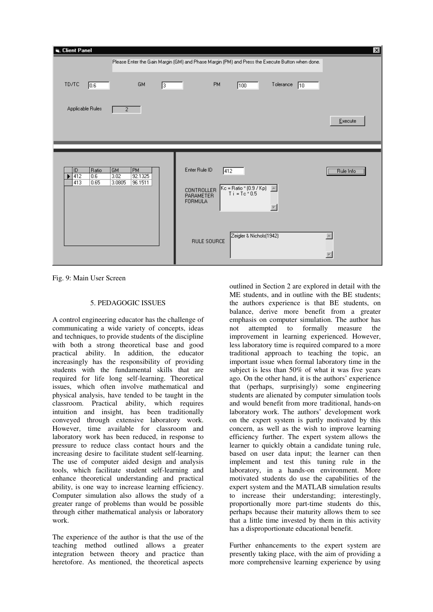| Client Panel                                       |                                                                                                 |                                                            |                    |                                      |           |              | $\vert x \vert$ |
|----------------------------------------------------|-------------------------------------------------------------------------------------------------|------------------------------------------------------------|--------------------|--------------------------------------|-----------|--------------|-----------------|
|                                                    | Please Enter the Gain Margin (GM) and Phase Margin (PM) and Press the Execute Button when done. |                                                            |                    |                                      |           |              |                 |
| TD/TC<br>0.6                                       | GM                                                                                              | 13.                                                        | <b>PM</b>          | 100                                  | Tolerance | $ 10\rangle$ |                 |
| Applicable Rules                                   | $\overline{2}$                                                                                  |                                                            |                    |                                      |           |              | Execute         |
|                                                    |                                                                                                 |                                                            |                    |                                      |           |              |                 |
| ID.<br>Ratio<br>$\sqrt{412}$<br>0.6<br>413<br>0.65 | <b>PM</b><br><b>GM</b><br>3.02<br>92.1325<br>3.0805<br>96.1511                                  | Enter Rule ID<br>CONTROLLER<br>PARAMETER<br><b>FORMULA</b> | $\sqrt{412}$       | $Kc = \text{Ratio} * (0.9 / Kp)$ All |           |              | Rule Info       |
|                                                    |                                                                                                 |                                                            | <b>RULE SOURCE</b> | Zeigler & Nichols(1942)              |           |              | j.              |

Fig. 9: Main User Screen

## 5. PEDAGOGIC ISSUES

A control engineering educator has the challenge of communicating a wide variety of concepts, ideas and techniques, to provide students of the discipline with both a strong theoretical base and good practical ability. In addition, the educator increasingly has the responsibility of providing students with the fundamental skills that are required for life long self-learning. Theoretical issues, which often involve mathematical and physical analysis, have tended to be taught in the classroom. Practical ability, which requires intuition and insight, has been traditionally conveyed through extensive laboratory work. However, time available for classroom and laboratory work has been reduced, in response to pressure to reduce class contact hours and the increasing desire to facilitate student self-learning. The use of computer aided design and analysis tools, which facilitate student self-learning and enhance theoretical understanding and practical ability, is one way to increase learning efficiency. Computer simulation also allows the study of a greater range of problems than would be possible through either mathematical analysis or laboratory work.

The experience of the author is that the use of the teaching method outlined allows a greater integration between theory and practice than heretofore. As mentioned, the theoretical aspects

outlined in Section 2 are explored in detail with the ME students, and in outline with the BE students; the authors experience is that BE students, on balance, derive more benefit from a greater emphasis on computer simulation. The author has not attempted to formally measure the improvement in learning experienced. However, less laboratory time is required compared to a more traditional approach to teaching the topic, an important issue when formal laboratory time in the subject is less than 50% of what it was five years ago. On the other hand, it is the authors' experience that (perhaps, surprisingly) some engineering students are alienated by computer simulation tools and would benefit from more traditional, hands-on laboratory work. The authors' development work on the expert system is partly motivated by this concern, as well as the wish to improve learning efficiency further. The expert system allows the learner to quickly obtain a candidate tuning rule, based on user data input; the learner can then implement and test this tuning rule in the laboratory, in a hands-on environment. More motivated students do use the capabilities of the expert system and the MATLAB simulation results to increase their understanding; interestingly, proportionally more part-time students do this, perhaps because their maturity allows them to see that a little time invested by them in this activity has a disproportionate educational benefit.

Further enhancements to the expert system are presently taking place, with the aim of providing a more comprehensive learning experience by using